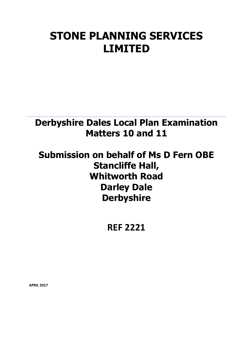# **STONE PLANNING SERVICES LIMITED**

## **Derbyshire Dales Local Plan Examination Matters 10 and 11**

## **Submission on behalf of Ms D Fern OBE Stancliffe Hall, Whitworth Road Darley Dale Derbyshire**

**REF 2221**

**APRIL 2017**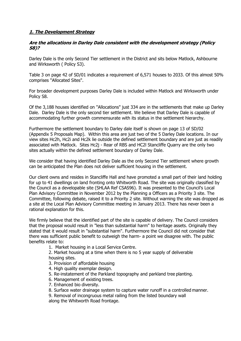## **1. The Development Strategy**

## **Are the allocations in Darley Dale consistent with the development strategy (Policy S8)?**

Darley Dale is the only Second Tier settlement in the District and sits below Matlock, Ashbourne and Wirksworth ( Policy S3).

Table 3 on page 42 of SD/01 indicates a requirement of 6,571 houses to 2033. Of this almost 50% comprises "Allocated Sites".

For broader development purposes Darley Dale is included within Matlock and Wirksworth under Policy S8.

Of the 3,188 houses identified on "Allocations" just 334 are in the settlements that make up Darley Dale. Darley Dale is the only second tier settlement. We believe that Darley Dale is capable of accommodating further growth commensurate with its status in the settlement hierarchy.

Furthermore the settlement boundary to Darley dale itself is shown on page 13 of SD/02 (Appendix 5 Proposals Map). Within this area are just two of the 5 Darley Dale locations. In our view sites Hc2h, Hc2i and Hc2k lie outside the defined settlement boundary and are just as readily associated with Matlock. Sites Hc2j - Rear of RBS and HC2l Stancliffe Quarry are the only two sites actually within the defined settlement boundary of Darley Dale.

We consider that having identified Darley Dale as the only Second Tier settlement where growth can be anticipated the Plan does not deliver sufficient housing in the settlement.

Our client owns and resides in Stancliffe Hall and have promoted a small part of their land holding for up to 41 dwellings on land fronting onto Whitworth Road. The site was originally classified by the Council as a developable site (SHLAA Ref CSAS96). It was presented to the Council's Local Plan Advisory Committee in November 2012 by the Planning a Officers as a Priority 3 site. The Committee, following debate, raised it to a Priority 2 site. Without warning the site was dropped as a site at the Local Plan Advisory Committee meeting in January 2013. There has never been a rational explanation for this.

We firmly believe that the identified part of the site is capable of delivery. The Council considers that the proposal would result in "less than substantial harm" to heritage assets. Originally they stated that it would result in "substantial harm". Furthermore the Council did not consider that there was sufficient public benefit to outweigh the harm- a point we disagree with. The public benefits relate to:

1. Market housing in a Local Service Centre.

2. Market housing at a time when there is no 5 year supply of deliverable housing sites.

- 3. Provision of affordable housing
- 4. High quality exemplar design.
- 5. Re-instatement of the Parkland topography and parkland tree planting.
- 6. Management of existing trees.
- 7. Enhanced bio diversity.
- 8. Surface water drainage system to capture water runoff in a controlled manner.
- 9. Removal of incongruous metal railing from the listed boundary wall

along the Whitworth Road frontage.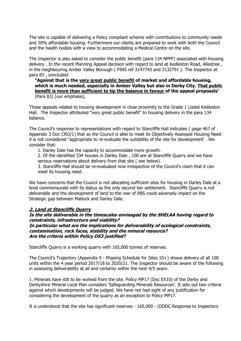The site is capable of delivering a Policy compliant scheme with contributions to community needs and 30% affordable housing. Furthermore our clients are prepared to work with both the Council and the health bodies with a view to accommodating a Medical Centre on the site.

The Inspector is also asked to consider the public benefit (para 134 NPPF) associated with housing delivery . In the recent Planning Appeal decision with regard to land at Kedleston Road, Allestree , in the neighbouring Amber Valley Borough ( PINS ref:3147743 and 3132791 ). The Inspector at para 83 , concluded

### **"Against that is the very great public benefit of market and affordable housing, which is much needed, especially in Amber Valley but also in Derby City. That public benefit is more than sufficient to tip the balance in favour of the appeal proposals**" (Para 83) [our emphasis].

Those appeals related to housing development in close proximity to the Grade 1 Listed Kedleston Hall. The Inspector attributed "very great public benefit" to housing delivery in the para 134 balance.

The Council's response to representations with regard to Stancliffe Hall indicates ( page 467 of Appendix 3 Doc CRO/1) that as the Council is able to meet its Objectively Assessed Housing Need it is not considered "appropriate to re-evaluate the suitability of the site for development' . We consider that:

1. Darley Dale has the capacity to accommodate more growth.

2. Of the identified 334 houses in Darley Dale , 100 are at Stancliffe Quarry and we have serious reservations about delivery from that site ( see below).

3. Stancliffe Hall should be re-evaluated now irrespective of the Council's claim that it can meet its housing need.

We have concerns that the Council is not allocating sufficient sites for housing in Darley Dale at a level commensurate with its status as the only second tier settlement. Stancliffe Quarry is not deliverable and the development of land to the rear of RBS could adversely impact on the Strategic gap between Matlock and Darley Dale.

## **2. Land at Stancliffe Quarry**

## **Is the site deliverable in the timescales envisaged by the SHELAA having regard to constraints, infrastructure and viability? In particular what are the implications for deliverability of ecological constraints,**

#### **contamination, rock faces, stability and the mineral resource? Are the criteria within Policy DS3 justified?**

Stancliffe Quarry is a working quarry with 165,000 tonnes of reserves.

The Council's Trajectory (Appendix 9 - Phasing Schedule for Sites 10+) shows delivery of all 100 units within the 4 year period 2017/18 to 2020/21. The Inspector should be aware of the following in assessing deliverability at all and certainly within the next 4/5 years:

1. Minerals have still to be worked from the site. Policy MP17 (Doc EX10) of the Derby and Derbyshire Mineral Local Plan considers 'Safeguarding Minerals Resources'. It sets out two criteria against which developments will be judged. We have not had sight of any justification for considering the development of the quarry as an exception to Policy MP17.

It is understood that the site has significant reserves - 165,000 - (DDDC Response to Inspectors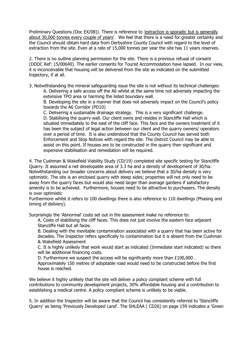Preliminary Questions (Doc EX/08)). There is reference to 'extraction is sporadic but is generally about 30,000 tonnes every couple of years'. We feel that there is a need for greater certainty and the Council should obtain hard data from Derbyshire County Council with regard to the level of extraction from the site. Even at a rate of 15,000 tonnes per year the site has 11 years reserves.

2. There is no outline planning permission for the site. There is a previous refusal of consent (DDDC Ref: 15/00640). The earlier consents for Tourist Accommodation have lapsed. In our view, it is inconceivable that housing will be delivered from the site as indicated on the submitted trajectory, if at all.

3. Notwithstanding the mineral safeguarding issue the site is not without its technical challenges: A. Delivering a safe access off the A6 whilst at the same time not adversely impacting the extensive TPO area or harming the listed boundary wall.

B. Developing the site in a manner that does not adversely impact on the Council's policy towards the A6 Corridor (PD10)

C. Delivering a sustainable drainage strategy. This is a very significant challenge. D. Stabilising the quarry wall. Our client owns and resides in Stancliffe Hall which is situated immediately to the east of the cliff face. This face and the owners treatment of it has been the subject of legal action between our client and the quarry owners/ operators over a period of time. It is also understood that the County Council has served both Enforcement and Stop Notices with regard the site. The District Council may be able to assist on this point. If houses are to be constructed in the quarry then significant and expensive stabilisation and remediation will be required.

4. The Cushman & Wakefield Viability Study (CD/19) completed site specific testing for Stancliffe Quarry. It assumed a net developable area of 3.3 ha and a density of development of 30/ha. Notwithstanding our broader concerns about delivery we believe that a 30/ha density is very optimistic. The site is an enclosed quarry with steep sides; properties will not only need to be away from the quarry faces but would also need larger than average gardens if satisfactory amenity is to be achieved. Furthermore, houses need to be attractive to purchasers. The density is over optimistic

Furthermore whilst it refers to 100 dwellings there is also reference to 110 dwellings (Phasing and timing of delivery).

Surprisingly the 'Abnormal' costs set out in the assessment make no reference to:

A. Costs of stabilising the cliff faces. This does not just involve the eastern face adjacent Stancliffe Hall but all faces.

B. Dealing with the inevitable contamination associated with a quarry that has been active for decades. The Inspector refers specifically to contamination but it is absent from the Cushman & Wakefield Assessment

C. It is highly unlikely that work would start as indicated (Immediate start indicated) so there will be additional financing costs.

D. Furthermore we suspect the access will be significantly more than £100,000 .

Approximately 150 metres of adoptable road would need to be constructed before the first house is reached.

We believe it highly unlikely that the site will deliver a policy compliant scheme with full contributions to community development projects, 30% affordable housing and a contribution to establishing a medical centre. A policy compliant scheme is unlikely to be viable.

5. In addition the Inspector will be aware that the Council has consistently referred to 'Stancliffe Quarry' as being 'Previously Developed Land'. The SHLEAA ( CD26) on page 159 indicates a 'Green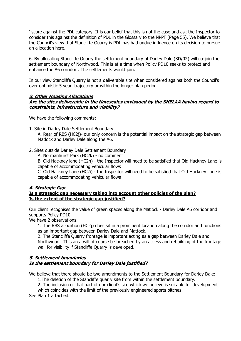' score against the PDL category. It is our belief that this is not the case and ask the Inspector to consider this against the definition of PDL in the Glossary to the NPPF (Page 55). We believe that the Council's view that Stancliffe Quarry is PDL has had undue influence on its decision to pursue an allocation here.

6. By allocating Stancliffe Quarry the settlement boundary of Darley Dale (SD/02) will co-join the settlement boundary of Northwood. This is at a time when Policy PD10 seeks to protect and enhance the A6 corridor . The settlements would join.

In our view Stancliffe Quarry is not a deliverable site when considered against both the Council's over optimistic 5 year trajectory or within the longer plan period.

## **3. Other Housing Allocations**

## **Are the sites deliverable in the timescales envisaged by the SHELAA having regard to constraints, infrastructure and viability?**

We have the following comments:

- 1. Site in Darley Dale Settlement Boundary A. Rear of RBS (HC2j)- our only concern is the potential impact on the strategic gap between Matlock and Darley Dale along the A6.
- 2. Sites outside Darley Dale Settlement Boundary
	- A. Normanhurst Park (HC2k) no comment

B. Old Hackney lane (HC2h) - the Inspector will need to be satisfied that Old Hackney Lane is capable of accommodating vehicular flows

C. Old Hackney Lane (HC2i) - the Inspector will need to be satisfied that Old Hackney Lane is capable of accommodating vehicular flows

## **4. Strategic Gap**

## **Is a strategic gap necessary taking into account other policies of the plan? Is the extent of the strategic gap justified?**

Our client recognises the value of green spaces along the Matlock - Darley Dale A6 corridor and supports Policy PD10.

We have 2 observations:

1. The RBS allocation (HC2j) does sit in a prominent location along the corridor and functions as an important gap between Darley Dale and Mattock.

2. The Stancliffe Quarry frontage is important acting as a gap between Darley Dale and Northwood. This area will of course be breached by an access and rebuilding of the frontage wall for visibility if Stancliffe Quarry is developed.

## **5. Settlement boundaries Is the settlement boundary for Darley Dale justified?**

We believe that there should be two amendments to the Settlement Boundary for Darley Dale:

1.The deletion of the Stancliffe quarry site from within the settlement boundary.

2. The inclusion of that part of our client's site which we believe is suitable for development

which coincides with the limit of the previously engineered sports pitches.

See Plan 1 attached.